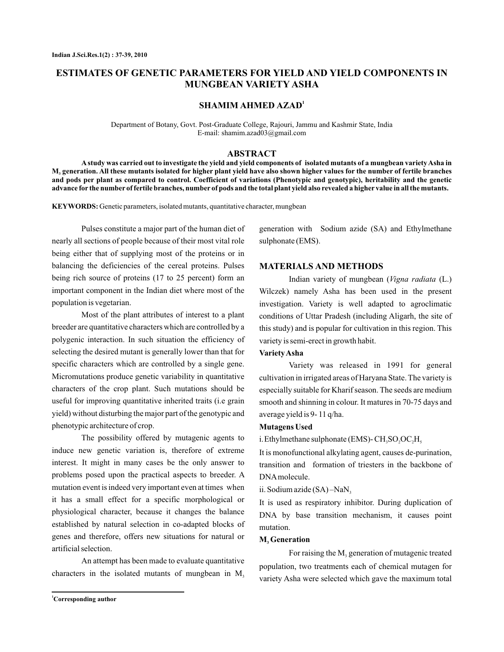# **ESTIMATES OF GENETIC PARAMETERS FOR YIELD AND YIELD COMPONENTS IN MUNGBEAN VARIETY ASHA**

# **SHAMIM AHMED AZAD<sup>1</sup>**

Department of Botany, Govt. Post-Graduate College, Rajouri, Jammu and Kashmir State, India E-mail: shamim.azad03@gmail.com

# **ABSTRACT**

**A study was carried out to investigate the yield and yield components of isolated mutants of a mungbean variety Asha in M generation. All these mutants isolated for higher plant yield have also shown higher values for the number of fertile branches 3 and pods per plant as compared to control. Coefficient of variations (Phenotypic and genotypic), heritability and the genetic advance for the number of fertile branches, number of pods and the total plant yield also revealed a higher value in all the mutants.**

KEYWORDS: Genetic parameters, isolated mutants, quantitative character, mungbean

Pulses constitute a major part of the human diet of nearly all sections of people because of their most vital role being either that of supplying most of the proteins or in balancing the deficiencies of the cereal proteins. Pulses being rich source of proteins (17 to 25 percent) form an important component in the Indian diet where most of the population is vegetarian.

Most of the plant attributes of interest to a plant breeder are quantitative characters which are controlled by a polygenic interaction. In such situation the efficiency of selecting the desired mutant is generally lower than that for specific characters which are controlled by a single gene. Micromutations produce genetic variability in quantitative characters of the crop plant. Such mutations should be useful for improving quantitative inherited traits (i.e grain yield) without disturbing the major part of the genotypic and phenotypic architecture of crop.

The possibility offered by mutagenic agents to induce new genetic variation is, therefore of extreme interest. It might in many cases be the only answer to problems posed upon the practical aspects to breeder. A mutation event is indeed very important even at times when it has a small effect for a specific morphological or physiological character, because it changes the balance established by natural selection in co-adapted blocks of genes and therefore, offers new situations for natural or artificial selection.

An attempt has been made to evaluate quantitative characters in the isolated mutants of mungbean in  $M<sub>3</sub>$ 

generation with Sodium azide (SA) and Ethylmethane sulphonate (EMS).

# **MATERIALS AND METHODS**

Indian variety of mungbean (Vigna radiata (L.) Wilczek) namely Asha has been used in the present investigation. Variety is well adapted to agroclimatic conditions of Uttar Pradesh (including Aligarh, the site of this study) and is popular for cultivation in this region. This variety is semi-erect in growth habit.

# **VarietyAsha**

Variety was released in 1991 for general cultivation in irrigated areas of Haryana State. The variety is especially suitable for Kharif season. The seeds are medium smooth and shinning in colour. It matures in 70-75 days and average yield is 9- 11 q/ha.

#### **Mutagens Used**

i. Ethylmethane sulphonate (EMS)-  $\rm CH_{3}SO_{2}OC_{2}H_{5}$ 

It is monofunctional alkylating agent, causes de-purination, transition and formation of triesters in the backbone of DNAmolecule.

ii. Sodium azide (SA) –NaN<sub>3</sub>

It is used as respiratory inhibitor. During duplication of DNA by base transition mechanism, it causes point mutation.

# $M$ <sub>3</sub> Generation

For raising the  $M<sub>3</sub>$  generation of mutagenic treated population, two treatments each of chemical mutagen for variety Asha were selected which gave the maximum total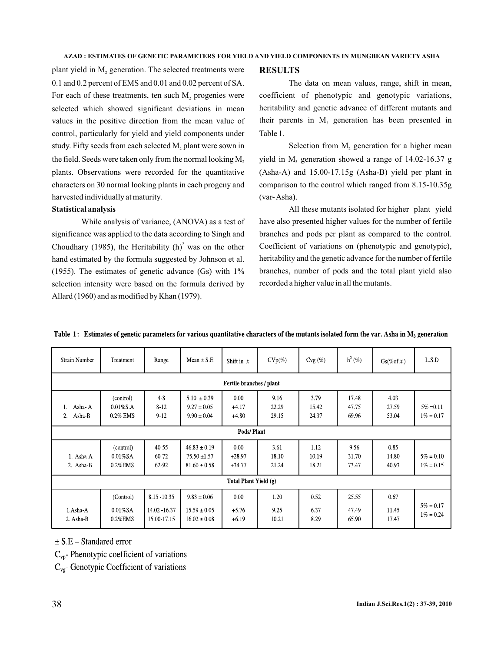#### **AZAD : ESTIMATES OF GENETIC PARAMETERS FOR YIELD AND YIELD COMPONENTS IN MUNGBEAN VARIETY ASHA**

plant yield in  $M_2$  generation. The selected treatments were 0.1 and 0.2 percent of EMS and 0.01 and 0.02 percent of SA. For each of these treatments, ten such  $M<sub>2</sub>$  progenies were selected which showed significant deviations in mean values in the positive direction from the mean value of control, particularly for yield and yield components under study. Fifty seeds from each selected  $M_2$  plant were sown in the field. Seeds were taken only from the normal looking  $\mathrm{M}_\mathrm{2}$ plants. Observations were recorded for the quantitative characters on 30 normal looking plants in each progeny and harvested individually at maturity.

# **Statistical analysis**

While analysis of variance, (ANOVA) as a test of significance was applied to the data according to Singh and Choudhary (1985), the Heritability  $(h)^2$  was on the other hand estimated by the formula suggested by Johnson et al. (1955). The estimates of genetic advance (Gs) with 1% selection intensity were based on the formula derived by Allard (1960) and as modified by Khan (1979).

## **RESULTS**

The data on mean values, range, shift in mean, coefficient of phenotypic and genotypic variations, heritability and genetic advance of different mutants and their parents in  $M<sub>3</sub>$  generation has been presented in Table 1.

Selection from  $M<sub>2</sub>$  generation for a higher mean yield in  $M<sub>3</sub>$  generation showed a range of 14.02-16.37 g (Asha-A) and 15.00-17.15g (Asha-B) yield per plant in comparison to the control which ranged from 8.15-10.35g (var-Asha).

All these mutants isolated for higher plant yield have also presented higher values for the number of fertile branches and pods per plant as compared to the control. Coefficient of variations on (phenotypic and genotypic), heritability and the genetic advance for the number of fertile branches, number of pods and the total plant yield also recorded a higher value in all the mutants.

| <b>Strain Number</b>         | Treatment                               | Range                                        | Mean $\pm$ S.E                                           | Shift in $x$                 | $CVp(\%)$              | $Cvg(\%)$              | $h^2$ (%)               | $Gs(\%of x)$           | L.S.D                        |
|------------------------------|-----------------------------------------|----------------------------------------------|----------------------------------------------------------|------------------------------|------------------------|------------------------|-------------------------|------------------------|------------------------------|
| Fertile branches / plant     |                                         |                                              |                                                          |                              |                        |                        |                         |                        |                              |
| Asha-A<br>Ι.<br>Asha B<br>2. | (control)<br>$0.01\%$ S.A<br>0.2% EMS   | $4-8$<br>8-12<br>9 1 2                       | $5.10 \pm 0.39$<br>$9.27 \pm 0.05$<br>$9.90 \pm 0.04$    | 0.00<br>$+4.17$<br>$+4.80$   | 9.16<br>22.29<br>29.15 | 3.79<br>15.42<br>24.37 | 17.48<br>47.75<br>69.96 | 4.03<br>27.59<br>53.04 | $5\% = 0.11$<br>$1\% = 0.17$ |
| Pods/Plant                   |                                         |                                              |                                                          |                              |                        |                        |                         |                        |                              |
| 1. Asha-A<br>2. Asha-B       | (control)<br>$0.01\%$ SA<br>$0.2\%$ EMS | 40 55<br>60 72<br>62 92                      | $46.83 \pm 0.19$<br>$75.50 \pm 1.57$<br>$81.60 \pm 0.58$ | 0.00<br>$+28.97$<br>$+34.77$ | 3.61<br>18.10<br>21.24 | 1.12<br>10.19<br>18.21 | 9.56<br>31.70<br>73.47  | 0.85<br>14.80<br>40.93 | $5\% = 0.10$<br>$1\% = 0.15$ |
| Total Plant Yield (g)        |                                         |                                              |                                                          |                              |                        |                        |                         |                        |                              |
| 1.Asha-A<br>2. Asha-B        | (Control)<br>$0.01\%$ SA<br>$0.2\%$ EMS | 8.15 - 10.35<br>14.02 - 16.37<br>15.00-17.15 | $9.83 \pm 0.06$<br>$15.59 \pm 0.05$<br>$16.02 \pm 0.08$  | 0.00<br>$+5.76$<br>$+6.19$   | 1.20<br>9.25<br>10.21  | 0.52<br>6.37<br>8.29   | 25.55<br>47.49<br>65.90 | 0.67<br>11.45<br>17.47 | $5\% = 0.17$<br>$1\% = 0.24$ |

Table 1: Estimates of genetic parameters for various quantitative characters of the mutants isolated form the var. Asha in M<sub>3</sub> generation

 $\pm$  S.E – Standared error

 $C_{\text{vp}}$  Phenotypic coefficient of variations

 $C_{\text{vg}}$ - Genotypic Coefficient of variations